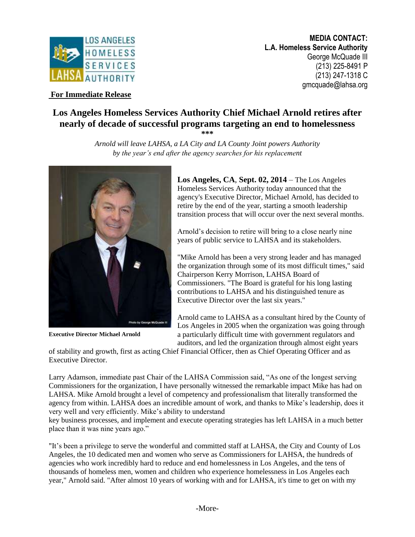

**MEDIA CONTACT: L.A. Homeless Service Authority** George McQuade III (213) 225-8491 P (213) 247-1318 C gmcquade@lahsa.org

## **For Immediate Release**

## **Los Angeles Homeless Services Authority Chief Michael Arnold retires after nearly of decade of successful programs targeting an end to homelessness**

**\*\*\*** *Arnold will leave LAHSA, a LA City and LA County Joint powers Authority* 

*by the year's end after the agency searches for his replacement*

**Executive Director Michael Arnold**

**Los Angeles, CA**, **Sept. 02, 2014** – The Los Angeles Homeless Services Authority today announced that the agency's Executive Director, Michael Arnold, has decided to retire by the end of the year, starting a smooth leadership transition process that will occur over the next several months.

Arnold's decision to retire will bring to a close nearly nine years of public service to LAHSA and its stakeholders.

"Mike Arnold has been a very strong leader and has managed the organization through some of its most difficult times," said Chairperson Kerry Morrison, LAHSA Board of Commissioners. "The Board is grateful for his long lasting contributions to LAHSA and his distinguished tenure as Executive Director over the last six years."

Arnold came to LAHSA as a consultant hired by the County of Los Angeles in 2005 when the organization was going through a particularly difficult time with government regulators and auditors, and led the organization through almost eight years

of stability and growth, first as acting Chief Financial Officer, then as Chief Operating Officer and as Executive Director.

Larry Adamson, immediate past Chair of the LAHSA Commission said, "As one of the longest serving Commissioners for the organization, I have personally witnessed the remarkable impact Mike has had on LAHSA. Mike Arnold brought a level of competency and professionalism that literally transformed the agency from within. LAHSA does an incredible amount of work, and thanks to Mike's leadership, does it very well and very efficiently. Mike's ability to understand

key business processes, and implement and execute operating strategies has left LAHSA in a much better place than it was nine years ago."

"It's been a privilege to serve the wonderful and committed staff at LAHSA, the City and County of Los Angeles, the 10 dedicated men and women who serve as Commissioners for LAHSA, the hundreds of agencies who work incredibly hard to reduce and end homelessness in Los Angeles, and the tens of thousands of homeless men, women and children who experience homelessness in Los Angeles each year," Arnold said. "After almost 10 years of working with and for LAHSA, it's time to get on with my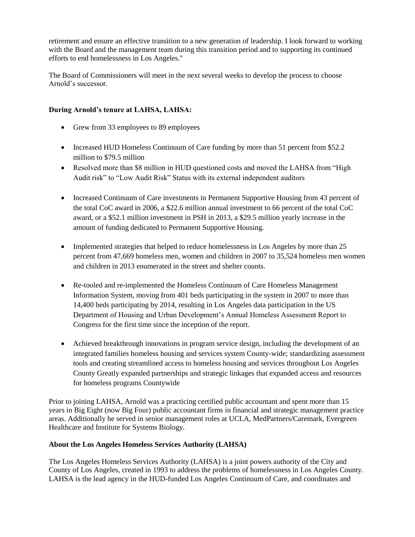retirement and ensure an effective transition to a new generation of leadership. I look forward to working with the Board and the management team during this transition period and to supporting its continued efforts to end homelessness in Los Angeles."

The Board of Commissioners will meet in the next several weeks to develop the process to choose Arnold's successor.

## **During Arnold's tenure at LAHSA, LAHSA:**

- Grew from 33 employees to 89 employees
- Increased HUD Homeless Continuum of Care funding by more than 51 percent from \$52.2 million to \$79.5 million
- Resolved more than \$8 million in HUD questioned costs and moved the LAHSA from "High Audit risk" to "Low Audit Risk" Status with its external independent auditors
- Increased Continuum of Care investments in Permanent Supportive Housing from 43 percent of the total CoC award in 2006, a \$22.6 million annual investment to 66 percent of the total CoC award, or a \$52.1 million investment in PSH in 2013, a \$29.5 million yearly increase in the amount of funding dedicated to Permanent Supportive Housing.
- Implemented strategies that helped to reduce homelessness in Los Angeles by more than 25 percent from 47,669 homeless men, women and children in 2007 to 35,524 homeless men women and children in 2013 enumerated in the street and shelter counts.
- Re-tooled and re-implemented the Homeless Continuum of Care Homeless Management Information System, moving from 401 beds participating in the system in 2007 to more than 14,400 beds participating by 2014, resulting in Los Angeles data participation in the US Department of Housing and Urban Development's Annual Homeless Assessment Report to Congress for the first time since the inception of the report.
- Achieved breakthrough innovations in program service design, including the development of an integrated families homeless housing and services system County-wide; standardizing assessment tools and creating streamlined access to homeless housing and services throughout Los Angeles County Greatly expanded partnerships and strategic linkages that expanded access and resources for homeless programs Countywide

Prior to joining LAHSA, Arnold was a practicing certified public accountant and spent more than 15 years in Big Eight (now Big Four) public accountant firms in financial and strategic management practice areas. Additionally he served in senior management roles at UCLA, MedPartners/Caremark, Evergreen Healthcare and Institute for Systems Biology.

## **About the Los Angeles Homeless Services Authority (LAHSA)**

The Los Angeles Homeless Services Authority (LAHSA) is a joint powers authority of the City and County of Los Angeles, created in 1993 to address the problems of homelessness in Los Angeles County. LAHSA is the lead agency in the HUD-funded Los Angeles Continuum of Care, and coordinates and